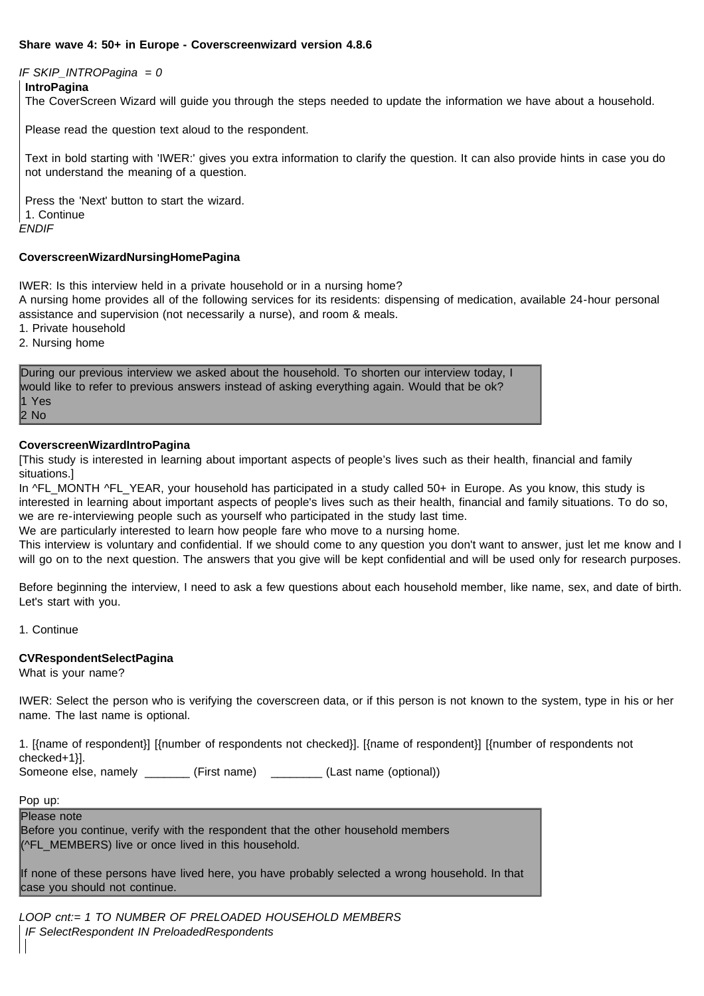## **Share wave 4: 50+ in Europe - Coverscreenwizard version 4.8.6**

### *IF SKIP\_INTROPagina = 0*

#### **IntroPagina**

The CoverScreen Wizard will guide you through the steps needed to update the information we have about a household.

Please read the question text aloud to the respondent.

Text in bold starting with 'IWER:' gives you extra information to clarify the question. It can also provide hints in case you do not understand the meaning of a question.

*ENDIF* Press the 'Next' button to start the wizard. 1. Continue

#### **CoverscreenWizardNursingHomePagina**

IWER: Is this interview held in a private household or in a nursing home?

A nursing home provides all of the following services for its residents: dispensing of medication, available 24-hour personal assistance and supervision (not necessarily a nurse), and room & meals.

1. Private household

2. Nursing home

During our previous interview we asked about the household. To shorten our interview today, I would like to refer to previous answers instead of asking everything again. Would that be ok? 1 Yes 2 No

### **CoverscreenWizardIntroPagina**

[This study is interested in learning about important aspects of people's lives such as their health, financial and family situations.]

In ^FL\_MONTH ^FL\_YEAR, your household has participated in a study called 50+ in Europe. As you know, this study is interested in learning about important aspects of people's lives such as their health, financial and family situations. To do so, we are re-interviewing people such as yourself who participated in the study last time.

We are particularly interested to learn how people fare who move to a nursing home.

This interview is voluntary and confidential. If we should come to any question you don't want to answer, just let me know and I will go on to the next question. The answers that you give will be kept confidential and will be used only for research purposes.

Before beginning the interview, I need to ask a few questions about each household member, like name, sex, and date of birth. Let's start with you.

1. Continue

### **CVRespondentSelectPagina**

What is your name?

IWER: Select the person who is verifying the coverscreen data, or if this person is not known to the system, type in his or her name. The last name is optional.

1. [{name of respondent}] [{number of respondents not checked}]. [{name of respondent}] [{number of respondents not checked+1}].

Someone else, namely **Example 19** (First name) (Last name (optional))

Pop up:

Please note Before you continue, verify with the respondent that the other household members (^FL\_MEMBERS) live or once lived in this household.

If none of these persons have lived here, you have probably selected a wrong household. In that case you should not continue.

*LOOP cnt:= 1 TO NUMBER OF PRELOADED HOUSEHOLD MEMBERS IF SelectRespondent IN PreloadedRespondents*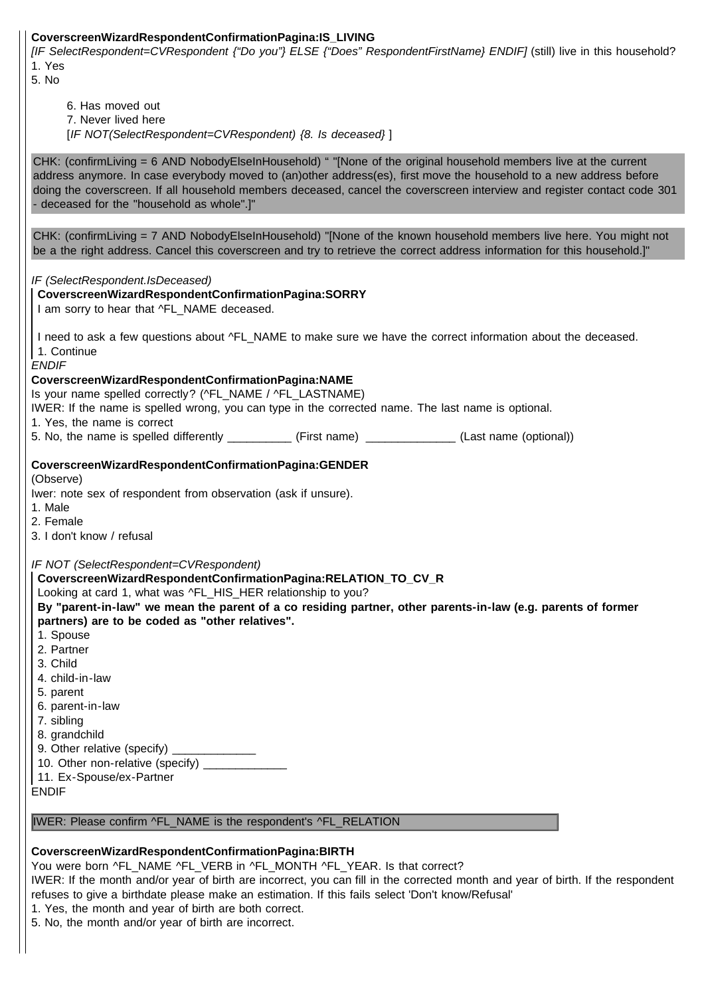## **CoverscreenWizardRespondentConfirmationPagina:IS\_LIVING**

*[IF SelectRespondent=CVRespondent {"Do you"} ELSE {"Does" RespondentFirstName} ENDIF]* (still) live in this household? 1. Yes

5. No

6. Has moved out

7. Never lived here

[*IF NOT(SelectRespondent=CVRespondent) {8. Is deceased}* ]

CHK: (confirmLiving = 6 AND NobodyElseInHousehold) " "[None of the original household members live at the current address anymore. In case everybody moved to (an)other address(es), first move the household to a new address before doing the coverscreen. If all household members deceased, cancel the coverscreen interview and register contact code 301 - deceased for the "household as whole".]"

CHK: (confirmLiving = 7 AND NobodyElseInHousehold) "[None of the known household members live here. You might not be a the right address. Cancel this coverscreen and try to retrieve the correct address information for this household.]"

*IF (SelectRespondent.IsDeceased)*

## *ENDIF* **CoverscreenWizardRespondentConfirmationPagina:NAME** Is your name spelled correctly? (^FL\_NAME / ^FL\_LASTNAME) IWER: If the name is spelled wrong, you can type in the corrected name. The last name is optional. 1. Yes, the name is correct 5. No, the name is spelled differently \_\_\_\_\_\_\_\_\_\_ (First name) \_\_\_\_\_\_\_\_\_\_\_\_\_\_ (Last name (optional)) **CoverscreenWizardRespondentConfirmationPagina:SORRY** I am sorry to hear that ^FL\_NAME deceased. I need to ask a few questions about ^FL\_NAME to make sure we have the correct information about the deceased. 1. Continue

## **CoverscreenWizardRespondentConfirmationPagina:GENDER**

(Observe)

Iwer: note sex of respondent from observation (ask if unsure).

1. Male

2. Female

3. I don't know / refusal

*IF NOT (SelectRespondent=CVRespondent)*

**CoverscreenWizardRespondentConfirmationPagina:RELATION\_TO\_CV\_R**

Looking at card 1, what was ^FL\_HIS\_HER relationship to you?

**By "parent-in-law" we mean the parent of a co residing partner, other parents-in-law (e.g. parents of former partners) are to be coded as "other relatives".**

- 1. Spouse
- 2. Partner
- 3. Child
- 4. child-in-law
- 5. parent
- 6. parent-in-law
- 7. sibling

8. grandchild

- 9. Other relative (specify)
- 10. Other non-relative (specify)
- 11. Ex-Spouse/ex-Partner

ENDIF

## IWER: Please confirm ^FL\_NAME is the respondent's ^FL\_RELATION

## **CoverscreenWizardRespondentConfirmationPagina:BIRTH**

You were born ^FL\_NAME ^FL\_VERB in ^FL\_MONTH ^FL\_YEAR. Is that correct?

IWER: If the month and/or year of birth are incorrect, you can fill in the corrected month and year of birth. If the respondent refuses to give a birthdate please make an estimation. If this fails select 'Don't know/Refusal'

1. Yes, the month and year of birth are both correct.

5. No, the month and/or year of birth are incorrect.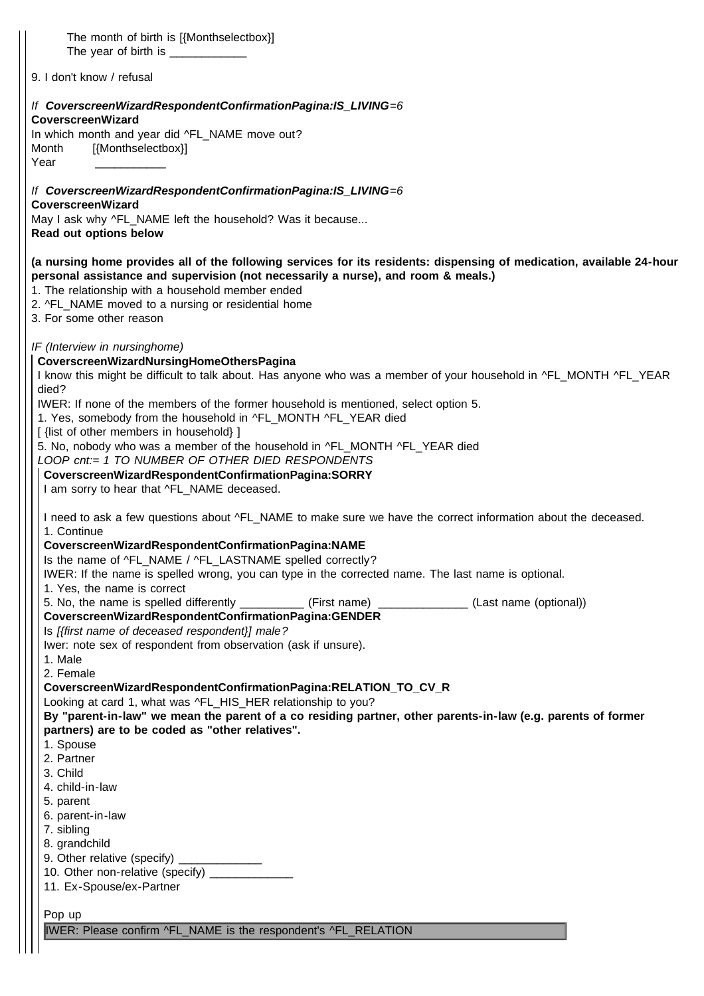| The month of birth is [{Monthselectbox}]<br>The year of birth is _____________                                                                                                                                                                                  |  |
|-----------------------------------------------------------------------------------------------------------------------------------------------------------------------------------------------------------------------------------------------------------------|--|
| 9. I don't know / refusal                                                                                                                                                                                                                                       |  |
| If CoverscreenWizardRespondentConfirmationPagina:IS_LIVING=6<br><b>CoverscreenWizard</b>                                                                                                                                                                        |  |
| In which month and year did ^FL_NAME move out?<br>[{Monthselectbox}]<br>Month<br>Year                                                                                                                                                                           |  |
| If CoverscreenWizardRespondentConfirmationPagina:IS_LIVING=6<br>CoverscreenWizard                                                                                                                                                                               |  |
| May I ask why ^FL_NAME left the household? Was it because<br>Read out options below                                                                                                                                                                             |  |
| (a nursing home provides all of the following services for its residents: dispensing of medication, available 24-hour<br>personal assistance and supervision (not necessarily a nurse), and room & meals.)<br>1. The relationship with a household member ended |  |
| 2. ^FL_NAME moved to a nursing or residential home<br>3. For some other reason                                                                                                                                                                                  |  |
| IF (Interview in nursinghome)<br>CoverscreenWizardNursingHomeOthersPagina<br>I know this might be difficult to talk about. Has anyone who was a member of your household in ^FL_MONTH ^FL_YEAR<br>died?                                                         |  |
| IWER: If none of the members of the former household is mentioned, select option 5.<br>1. Yes, somebody from the household in ^FL_MONTH ^FL_YEAR died<br>[ {list of other members in household} ]                                                               |  |
| 5. No, nobody who was a member of the household in ^FL_MONTH ^FL_YEAR died<br>LOOP cnt:= 1 TO NUMBER OF OTHER DIED RESPONDENTS<br>CoverscreenWizardRespondentConfirmationPagina:SORRY<br>I am sorry to hear that ^FL_NAME deceased.                             |  |
| I need to ask a few questions about ^FL_NAME to make sure we have the correct information about the deceased.<br>1. Continue                                                                                                                                    |  |
| CoverscreenWizardRespondentConfirmationPagina:NAME<br>Is the name of ^FL_NAME / ^FL_LASTNAME spelled correctly?<br>IWER: If the name is spelled wrong, you can type in the corrected name. The last name is optional.<br>1. Yes, the name is correct            |  |
| 5. No, the name is spelled differently (First name) (Example 2011) (Last name (optional))<br>CoverscreenWizardRespondentConfirmationPagina:GENDER<br>Is [{first name of deceased respondent}] male?                                                             |  |
| Iwer: note sex of respondent from observation (ask if unsure).<br>1. Male<br>2. Female                                                                                                                                                                          |  |
| CoverscreenWizardRespondentConfirmationPagina:RELATION_TO_CV_R<br>Looking at card 1, what was ^FL_HIS_HER relationship to you?                                                                                                                                  |  |
| By "parent-in-law" we mean the parent of a co residing partner, other parents-in-law (e.g. parents of former<br>partners) are to be coded as "other relatives".<br>1. Spouse                                                                                    |  |
| 2. Partner<br>3. Child<br>4. child-in-law                                                                                                                                                                                                                       |  |
| 5. parent<br>6. parent-in-law<br>7. sibling                                                                                                                                                                                                                     |  |
| 8. grandchild<br>9. Other relative (specify)<br>10. Other non-relative (specify) ____________<br>11. Ex-Spouse/ex-Partner                                                                                                                                       |  |
| Pop up<br>IWER: Please confirm ^FL_NAME is the respondent's ^FL_RELATION                                                                                                                                                                                        |  |

 $\begin{array}{c} \hline \end{array}$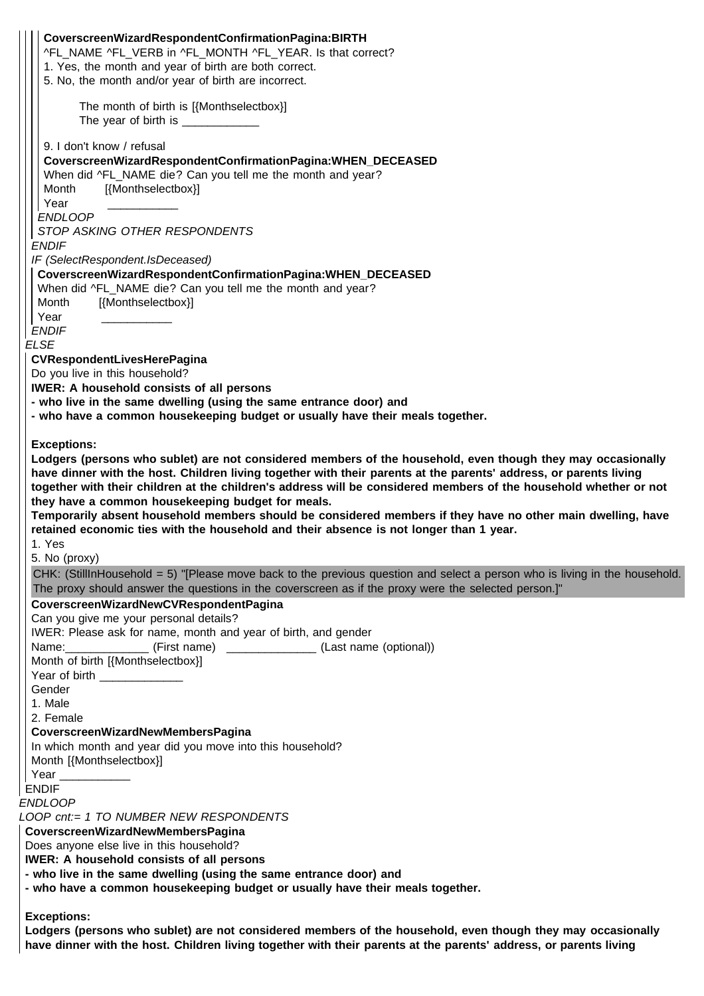| CoverscreenWizardRespondentConfirmationPagina:BIRTH                                                                                                                                                                                 |
|-------------------------------------------------------------------------------------------------------------------------------------------------------------------------------------------------------------------------------------|
| ^FL_NAME ^FL_VERB in ^FL_MONTH ^FL_YEAR. Is that correct?                                                                                                                                                                           |
| 1. Yes, the month and year of birth are both correct.                                                                                                                                                                               |
| 5. No, the month and/or year of birth are incorrect.                                                                                                                                                                                |
| The month of birth is [{Monthselectbox}]                                                                                                                                                                                            |
| The year of birth is ______________                                                                                                                                                                                                 |
|                                                                                                                                                                                                                                     |
| 9. I don't know / refusal                                                                                                                                                                                                           |
| CoverscreenWizardRespondentConfirmationPagina:WHEN_DECEASED                                                                                                                                                                         |
| When did ^FL_NAME die? Can you tell me the month and year?                                                                                                                                                                          |
| Month<br>[{Monthselectbox}]                                                                                                                                                                                                         |
| Year<br><b>ENDLOOP</b>                                                                                                                                                                                                              |
| STOP ASKING OTHER RESPONDENTS                                                                                                                                                                                                       |
| <b>ENDIF</b>                                                                                                                                                                                                                        |
| IF (SelectRespondent.IsDeceased)                                                                                                                                                                                                    |
| CoverscreenWizardRespondentConfirmationPagina:WHEN_DECEASED                                                                                                                                                                         |
| When did ^FL_NAME die? Can you tell me the month and year?                                                                                                                                                                          |
| [{Monthselectbox}]<br>Month                                                                                                                                                                                                         |
| Year                                                                                                                                                                                                                                |
| <b>ENDIF</b>                                                                                                                                                                                                                        |
| <b>ELSE</b>                                                                                                                                                                                                                         |
| CVRespondentLivesHerePagina                                                                                                                                                                                                         |
| Do you live in this household?                                                                                                                                                                                                      |
| <b>IWER: A household consists of all persons</b>                                                                                                                                                                                    |
| - who live in the same dwelling (using the same entrance door) and                                                                                                                                                                  |
| - who have a common housekeeping budget or usually have their meals together.                                                                                                                                                       |
| <b>Exceptions:</b>                                                                                                                                                                                                                  |
| Lodgers (persons who sublet) are not considered members of the household, even though they may occasionally                                                                                                                         |
|                                                                                                                                                                                                                                     |
|                                                                                                                                                                                                                                     |
| have dinner with the host. Children living together with their parents at the parents' address, or parents living                                                                                                                   |
| together with their children at the children's address will be considered members of the household whether or not<br>they have a common housekeeping budget for meals.                                                              |
| Temporarily absent household members should be considered members if they have no other main dwelling, have                                                                                                                         |
| retained economic ties with the household and their absence is not longer than 1 year.                                                                                                                                              |
| 1. Yes                                                                                                                                                                                                                              |
| 5. No (proxy)                                                                                                                                                                                                                       |
| CHK: (StillInHousehold = 5) "[Please move back to the previous question and select a person who is living in the household.<br>The proxy should answer the questions in the coverscreen as if the proxy were the selected person.]" |
| CoverscreenWizardNewCVRespondentPagina                                                                                                                                                                                              |
| Can you give me your personal details?                                                                                                                                                                                              |
| IWER: Please ask for name, month and year of birth, and gender                                                                                                                                                                      |
|                                                                                                                                                                                                                                     |
| Month of birth [{Monthselectbox}]                                                                                                                                                                                                   |
| Year of birth _____________                                                                                                                                                                                                         |
| Gender                                                                                                                                                                                                                              |
| 1. Male                                                                                                                                                                                                                             |
| 2. Female                                                                                                                                                                                                                           |
| CoverscreenWizardNewMembersPagina                                                                                                                                                                                                   |
| In which month and year did you move into this household?<br>Month [{Monthselectbox}]                                                                                                                                               |
| Year ___________                                                                                                                                                                                                                    |
| <b>ENDIF</b>                                                                                                                                                                                                                        |
| <b>ENDLOOP</b>                                                                                                                                                                                                                      |
| LOOP cnt:= 1 TO NUMBER NEW RESPONDENTS                                                                                                                                                                                              |
| CoverscreenWizardNewMembersPagina                                                                                                                                                                                                   |
| Does anyone else live in this household?                                                                                                                                                                                            |
| <b>IWER: A household consists of all persons</b>                                                                                                                                                                                    |
| - who live in the same dwelling (using the same entrance door) and                                                                                                                                                                  |
| - who have a common housekeeping budget or usually have their meals together.                                                                                                                                                       |
| <b>Exceptions:</b>                                                                                                                                                                                                                  |

**have dinner with the host. Children living together with their parents at the parents' address, or parents living**